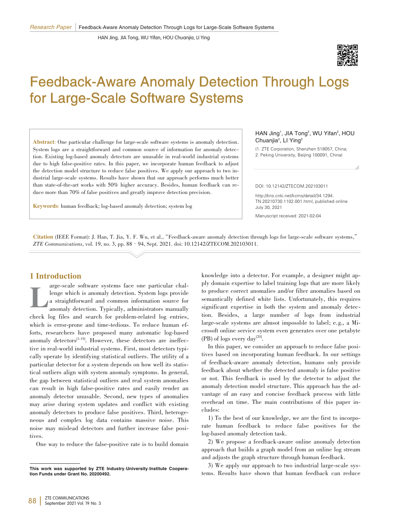HAN Jing, JIA Tong, WU Yifan, HOU Chuanjia, LI Ying



# Feedback⁃Aware Anomaly Detection Through Logs for Large⁃Scale Software Systems

Abstract: One particular challenge for large-scale software systems is anomaly detection. System logs are a straightforward and common source of information for anomaly detection. Existing log-based anomaly detectors are unusable in real-world industrial systems due to high false-positive rates. In this paper, we incorporate human feedback to adjust the detection model structure to reduce false positives. We apply our approach to two industrial large-scale systems. Results have shown that our approach performs much better than state-of-the-art works with 50% higher accuracy. Besides, human feedback can reduce more than 70% of false positives and greatly improve detection precision.

Keywords: human feedback; log-based anomaly detection; system log

#### HAN Jing<sup>1</sup>, JIA Tong<sup>2</sup>, WU Yifan<sup>2</sup>, HOU Chuanjia<sup>2</sup>, LI Ying<sup>2</sup>

(1. ZTE Corporation, Shenzhen 518057, China; 2. Peking University, Beijing 100091, China)

#### DOI: 10.12142/ZTECOM.202103011

http://kns.cnki.net/kcms/detail/34.1294. TN.20210730.1102.001.html, published online July 30, 2021

Manuscript received: 2021-02-04

Citation (IEEE Format): J. Han, T. Jia, Y. F. Wu, et al., "Feedback-aware anomaly detection through logs for large-scale software systems," *ZTE Communications*, vol. 19, no. 3, pp. 88–94, Sept. 2021. doi: 10.12142/ZTECOM.202103011.

# 1 Introduction

L arge-scale software systems face one particular challenge which is anomaly detection. System logs provide a straightforward and common information source for anomaly detection. Typically, administrators manually check log files and search for problem‑related log entries, which is error-prone and time-tedious. To reduce human efforts, researchers have proposed many automatic log-based anomaly detectors<sup>[1-19]</sup>. However, these detectors are ineffective in real-world industrial systems. First, most detectors typically operate by identifying statistical outliers. The utility of a particular detector for a system depends on how well its statistical outliers align with system anomaly symptoms. In general, the gap between statistical outliers and real system anomalies can result in high false‑positive rates and easily render an anomaly detector unusable. Second, new types of anomalies may arise during system updates and conflict with existing anomaly detectors to produce false positives. Third, heterogeneous and complex log data contains massive noise. This noise may mislead detectors and further increase false positives.

One way to reduce the false-positive rate is to build domain

knowledge into a detector. For example, a designer might apply domain expertise to label training logs that are more likely to produce correct anomalies and/or filter anomalies based on semantically defined white lists. Unfortunately, this requires significant expertise in both the system and anomaly detection. Besides, a large number of logs from industrial large-scale systems are almsot impossble to label; e.g., a Microsoft online service system even generates over one petabyte  $(PB)$  of logs every day<sup>[20]</sup>.

In this paper, we consider an approach to reduce false positives based on incorporating human feedback. In our settings of feedback‑aware anomaly detection, humans only provide feedback about whether the detected anomaly is false positive or not. This feedback is used by the detector to adjust the anomaly detection model structure. This approach has the advantage of an easy and concise feedback process with little overhead on time. The main contributions of this paper in‑ cludes:

1) To the best of our knowledge, we are the first to incorporate human feedback to reduce false positives for the log-based anomaly detection task.

2) We propose a feedback‑aware online anomaly detection approach that builds a graph model from an online log stream and adjusts the graph structure through human feedback.

3) We apply our approach to two industrial large-scale systems. Results have shown that human feedback can reduce

This work was supported by ZTE Industry-University-Institute Cooperation Funds under Grant No. 20200492.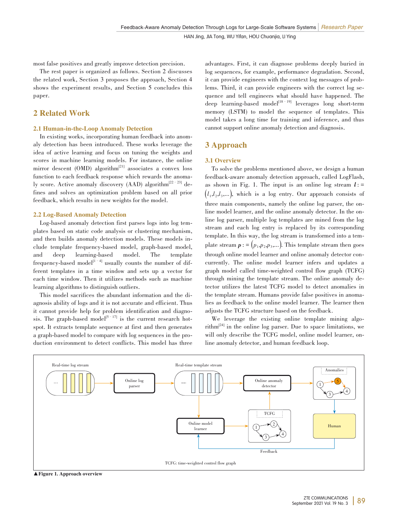most false positives and greatly improve detection precision.

The rest paper is organized as follows. Section 2 discusses the related work, Section 3 proposes the approach, Section 4 shows the experiment results, and Section 5 concludes this paper.

# 2 Related Work

## 2.1 Human‑in‑the‑Loop Anomaly Detection

In existing works, incorporating human feedback into anomaly detection has been introduced. These works leverage the idea of active learning and focus on tuning the weights and scores in machine learning models. For instance, the online mirror descent  $(OMD)$  algorithm<sup>[21]</sup> associates a convex loss function to each feedback response which rewards the anomaly score. Active anomaly discovery (AAD) algorithm<sup>[22–23]</sup> defines and solves an optimization problem based on all prior feedback, which results in new weights for the model.

### 2.2 Log‑Based Anomaly Detection

Log-based anomaly detection first parses logs into log templates based on static code analysis or clustering mechanism, and then builds anomaly detection models. These models include template frequency‐based model, graph‐based model, and deep learning‐based model. The template and deep learning‑based model. The template frequency-based model<sup>[1–4]</sup> usually counts the number of different templates in a time window and sets up a vector for each time window. Then it utilizes methods such as machine learning algorithms to distinguish outliers.

This model sacrifices the abundant information and the diagnosis ability of logs and it is not accurate and efficient. Thus it cannot provide help for problem identification and diagnosis. The graph-based model<sup>[5–17]</sup> is the current research hotspot. It extracts template sequence at first and then generates a graph-based model to compare with log sequences in the production environment to detect conflicts. This model has three advantages. First, it can diagnose problems deeply buried in log sequences, for example, performance degradation. Second, it can provide engineers with the context log messages of problems. Third, it can provide engineers with the correct log sequence and tell engineers what should have happened. The deep learning-based model<sup>[18–19]</sup> leverages long short-term memory (LSTM) to model the sequence of templates. This model takes a long time for training and inference, and thus cannot support online anomaly detection and diagnosis.

# 3 Approach

## 3.1 Overview

To solve the problems mentioned above, we design a human feedback‑aware anomaly detection approach, called LogFlash, as shown in Fig. 1. The input is an online log stream  $l$  : =  $(l_1, l_2, l_3, \ldots)$ , which is a log entry. Our approach consists of three main components, namely the online log parser, the online model learner, and the online anomaly detector. In the online log parser, multiple log templates are mined from the log stream and each log entry is replaced by its corresponding template. In this way, the log stream is transformed into a template stream  $p := (p_1, p_2, p_3, \dots)$ . This template stream then goes through online model learner and online anomaly detector concurrently. The online model learner infers and updates a graph model called time‑weighted control flow graph (TCFG) through mining the template stream. The online anomaly detector utilizes the latest TCFG model to detect anomalies in the template stream. Humans provide false positives in anomalies as feedback to the online model learner. The learner then adjusts the TCFG structure based on the feedback.

We leverage the existing online template mining algorithm<sup>[24]</sup> in the online log parser. Due to space limitations, we will only describe the TCFG model, online model learner, online anomaly detector, and human feedback loop.



▲ Figure 1. Approach overview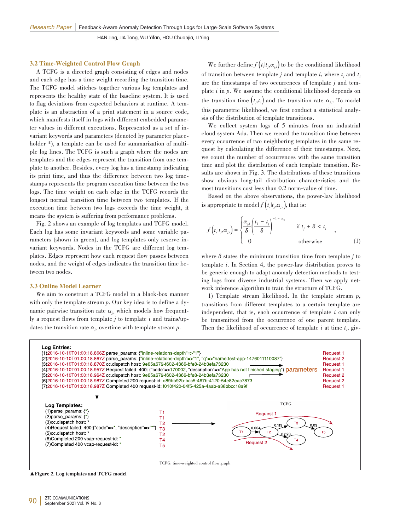HAN Jing, JIA Tong, WU Yifan, HOU Chuanjia, LI Ying

#### 3.2 Time‑Weighted Control Flow Graph

A TCFG is a directed graph consisting of edges and nodes and each edge has a time weight recording the transition time. The TCFG model stitches together various log templates and represents the healthy state of the baseline system. It is used to flag deviations from expected behaviors at runtime. A template is an abstraction of a print statement in a source code, which manifests itself in logs with different embedded parame– ter values in different executions. Represented as a set of invariant keywords and parameters (denoted by parameter placeholder \*), a template can be used for summarization of multiple log lines. The TCFG is such a graph where the nodes are templates and the edges represent the transition from one template to another. Besides, every log has a timestamp indicating its print time, and thus the difference between two log timestamps represents the program execution time between the two logs. The time weight on each edge in the TCFG records the longest normal transition time between two templates. If the execution time between two logs exceeds the time weight, it means the system is suffering from performance problems.

Fig. 2 shows an example of log templates and TCFG model. Each log has some invariant keywords and some variable parameters (shown in green), and log templates only reserve invariant keywords. Nodes in the TCFG are different log templates. Edges represent how each request flow passes between nodes, and the weight of edges indicates the transition time between two nodes.

#### 3.3 Online Model Learner

We aim to construct a TCFG model in a black-box manner with only the template stream *p*. Our key idea is to define a dynamic pairwise transition rate  $\alpha_{ii}$  which models how frequently a request flows from template  $j$  to template  $i$  and trains/updates the transition rate  $\alpha_{ii}$  overtime with template stream *p*.

We further define  $f(t_i|t_j, \alpha_{j,i})$  to be the conditional likelihood of transition between template *j* and template *i*, where  $t_i$  and  $t_i$ are the timestamps of two occurrences of template  $j$  and template *i* in *p*. We assume the conditional likelihood depends on the transition time  $(t_j, t_i)$  and the transition rate  $\alpha_{j,i}$ . To model this parametric likelihood, we first conduct a statistical analysis of the distribution of template transitions.

We collect system logs of 5 minutes from an industrial cloud system Ada. Then we record the transition time between every occurrence of two neighboring templates in the same request by calculating the difference of their timestamps. Next, we count the number of occurrences with the same transition time and plot the distribution of each template transition. Results are shown in Fig. 3. The distributions of these transitions show obvious long-tail distribution characteristics and the most transitions cost less than 0.2 norm-value of time.

Based on the above observations, the power-law likelihood is appropriate to model  $f(t_i|t_j,\alpha_{j,i})$ , that is:

$$
f(t_i|t_j,\alpha_{j,i}) = \begin{cases} \frac{\alpha_{j,i}}{\delta} \left(\frac{t_i - t_j}{\delta}\right)^{-1-\alpha_{j,i}} & \text{if } t_j + \delta < t_i \\ 0 & \text{otherwise} \end{cases}
$$
 (1)

where  $\delta$  states the minimum transition time from template  $j$  to template *i*. In Section 4, the power-law distribution proves to be generic enough to adapt anomaly detection methods to testing logs from diverse industrial systems. Then we apply network inference algorithm to train the structure of TCFG.

1) Template stream likelihood. In the template stream *p*, transitions from different templates to a certain template are independent, that is, each occurrence of template *i* can only be transmitted from the occurrence of one parent template. Then the likelihood of occurrence of template  $i$  at time  $t_i$ , giv-



▲Figure 2. Log templates and TCFG model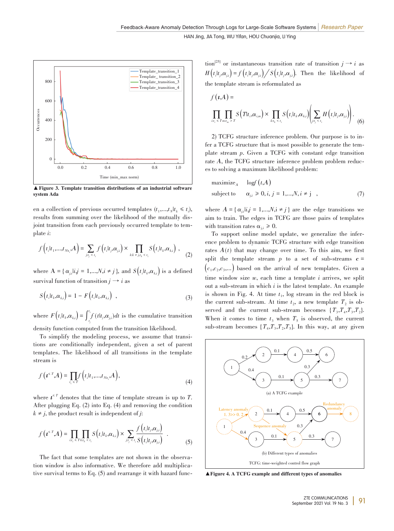

▲Figure 3. Template transition distributions of an industrial software system Ada

en a collection of previous occurred templates  $(t_1,...,t_N|t_k \leq t_i)$ , results from summing over the likelihood of the mutually disjoint transition from each previously occurred template to template *i*:

$$
f\left(t_i|t_1,\ldots,t_{N_i},A\right)=\sum_{j:t_j
$$

where  $A = \{ \alpha_{j,i} | i,j = 1,...,N, i \neq j \}$ , and  $S(t_i | t_k, \alpha_{k,i})$  is a defined survival function of transition  $j \rightarrow i$  as

$$
S(tiltk, \alphak,i) = 1 - F(tiltk, \alphak,i) , \qquad (3)
$$

where  $F(t_i|t_k,\alpha_{k,i}) = \int_{t_j}^{t_i} f(t|t_j,\alpha_{j,i})dt$  is the cumulative transition

density function computed from the transition likelihood.

To simplify the modeling process, we assume that transitions are conditionally independent, given a set of parent templates. The likelihood of all transitions in the template stream is

$$
f\left(\boldsymbol{t}^{\epsilon T}, A\right) = \prod_{t_i \leq T} f\left(t_i | t_1, \dots, t_{N t_i}, A\right),\tag{4}
$$

where  $t^{\leq T}$  denotes that the time of template stream is up to *T*. After plugging Eq. (2) into Eq. (4) and removing the condition  $k \neq j$ , the product result is independent of *j*:

$$
f\left(\boldsymbol{t}^{\leq T}, A\right) = \prod_{i: t_i \leq T} \prod_{k: t_k < t_i} S\left(t_i | t_k, \alpha_{k,i}\right) \times \sum_{j: t_j < t_i} \frac{f\left(t_i | t_j, \alpha_{j,i}\right)}{S\left(t_i | t_j, \alpha_{j,i}\right)} \quad . \tag{5}
$$

The fact that some templates are not shown in the observation window is also informative. We therefore add multiplicative survival terms to Eq.  $(5)$  and rearrange it with hazard function<sup>[25]</sup> or instantaneous transition rate of transition  $j \rightarrow i$  as  $H(t_i|t_j,\alpha_{j,i}) = f(t_i|t_j,\alpha_{j,i}) \Big/ S(t_i|t_j,\alpha_{j,i}).$  Then the likelihood of the template stream is reformulated as

$$
f(t,A) = \prod_{i:t_i \leq T} \prod_{m:t_m > T} S(Tt_i, \alpha_{i,m}) \times \prod_{k:t_k < t_i} S(t_i | t_k, \alpha_{k,i}) \left( \sum_{j:t_j < t_i} H(t_i | t_j, \alpha_{j,i}) \right). \tag{6}
$$

2) TCFG structure inference problem. Our purpose is to in‑ fer a TCFG structure that is most possible to generate the template stream *p*. Given a TCFG with constant edge transition rate *A*, the TCFG structure inference problem problem reduces to solving a maximum likelihood problem:

$$
\begin{array}{ll}\text{maximize}_{A} & \log f(t, A) \\ \text{subject to} & \alpha_{j,i} \ge 0, i, j = 1, \dots, N, i \ne j \end{array} \tag{7}
$$

where  $A = \{ \alpha_{j,i} | i,j = 1,...,N, i \neq j \}$  are the edge transitions we aim to train. The edges in TCFG are those pairs of templates with transition rates  $\alpha_{ii} \geq 0$ .

To support online model update, we generalize the inference problem to dynamic TCFG structure with edge transition rates  $A(t)$  that may change over time. To this aim, we first split the template stream  $p$  to a set of sub-streams  $c =$  $(c_1, c_2, c_3,...)$  based on the arrival of new templates. Given a time window size *w*, each time a template *i* arrives, we split out a sub‑stream in which *i* is the latest template. An example is shown in Fig. 4. At time  $t<sub>1</sub>$ , log stream in the red block is the current sub-stream. At time  $t_2$ , a new template  $T_2$  is observed and the current sub-stream becomes  ${T_3, T_4, T_3, T_2}$ . When it comes to time  $t_3$  when  $T_5$  is observed, the current sub-stream becomes  $\{T_4, T_3, T_2, T_5\}$ . In this way, at any given



▲Figure 4. A TCFG example and different types of anomalies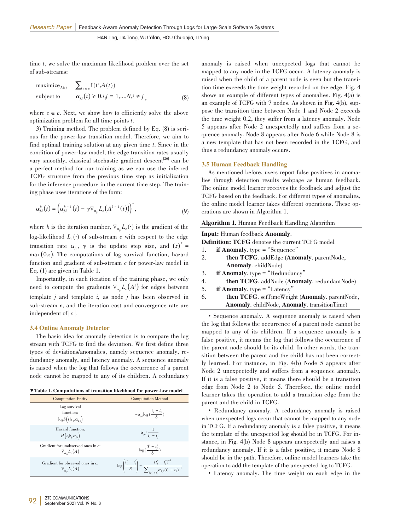time *t*, we solve the maximum likelihood problem over the set of sub‑streams:

$$
\begin{array}{ll}\text{maximize}_{\mathbf{A}(t)} & \sum_{c \in c} f(t^c, A(t))\\ \text{subject to} & \alpha_{j,i}(t) \ge 0, i, j = 1, \dots, N, i \ne j \end{array} \tag{8}
$$

where  $c \in \mathbf{c}$ . Next, we show how to efficiently solve the above optimization problem for all time points *t*.

3) Training method. The problem defined by Eq. (8) is serious for the power‑law transition model. Therefore, we aim to find optimal training solution at any given time *t*. Since in the condition of power-law model, the edge transition rates usually vary smoothly, classical stochastic gradient descent<sup>[26]</sup> can be a perfect method for our training as we can use the inferred TCFG structure from the previous time step as initialization for the inference procedure in the current time step. The training phase uses iterations of the form:

$$
\alpha_{j,i}^k(t) = \left(\alpha_{j,i}^{k-1}(t) - \gamma \nabla_{\alpha_{j,i}} L_c\left(A^{k-1}(t)\right)\right)^+, \tag{9}
$$

where *k* is the iteration number,  $\nabla_{\alpha_{j,i}} L_c(\cdot)$  is the gradient of the log-likelihood  $L_c(\cdot)$  of sub-stream c with respect to the edge transition rate  $\alpha_{j,i}$ ,  $\gamma$  is the update step size, and  $(z)^{+}$  $max(0,z)$ . The computations of log survival function, hazard function and gradient of sub-stream *c* for power-law model in Eq. (1) are given in Table 1.

Importantly, in each iteration of the training phase, we only need to compute the gradients  $\nabla_{\alpha_{j,i}} L_c(A^k)$  for edges between template *j* and template *i,* as node *j* has been observed in sub-stream *c*, and the iteration cost and convergence rate are independent of | *c*|.

#### 3.4 Online Anomaly Detector

The basic idea for anomaly detection is to compare the log stream with TCFG to find the deviation. We first define three types of deviations/anomalies, namely sequence anomaly, redundancy anomaly, and latency anomaly. A sequence anomaly is raised when the log that follows the occurrence of a parent node cannot be mapped to any of its children. A redundancy

| ▼Table 1. Computations of transition likelihood for power-law model |  |
|---------------------------------------------------------------------|--|
|---------------------------------------------------------------------|--|

| <b>Computation Entity</b>                                                | <b>Computation Method</b>                                                                                                              |
|--------------------------------------------------------------------------|----------------------------------------------------------------------------------------------------------------------------------------|
| Log survival<br>function:<br>$\log S(t_i t_k,\alpha_{k,i})$              | $-\alpha_{j,i} \log\left(\frac{t_i - t_j}{s}\right)$                                                                                   |
| Hazard function:<br>$H(t_i t_i,\alpha_{i,i})$                            | $\alpha_{j,i} \cdot \frac{1}{t_i - t_i}$                                                                                               |
| Gradient for unobserved ones in c:<br>$\nabla_{\alpha} L_c(A)$           | $\log\left(\frac{T-t_j^c}{s}\right)$                                                                                                   |
| Gradient for observed ones in c:<br>$\nabla_{\alpha_{\cdot\cdot}}L_c(A)$ | $\log\left(\frac{t_i^c-t_j^c}{\delta}\right) = \frac{(t_i^c-t_j^c)^{-1}}{\sum_{k:t_i^c \leq t_i^c} \alpha_{k,i} (t_i^c - t_k^c)^{-1}}$ |

anomaly is raised when unexpected logs that cannot be mapped to any node in the TCFG occur. A latency anomaly is raised when the child of a parent node is seen but the transition time exceeds the time weight recorded on the edge. Fig. 4 shows an example of different types of anomalies. Fig. 4(a) is an example of TCFG with 7 nodes. As shown in Fig. 4(b), suppose the transition time between Node 1 and Node 2 exceeds the time weight 0.2, they suffer from a latency anomaly. Node 5 appears after Node 2 unexpectedly and suffers from a se‑ quence anomaly. Node 8 appears after Node 6 while Node 8 is a new template that has not been recorded in the TCFG, and thus a redundancy anomaly occurs.

#### 3.5 Human Feedback Handling

As mentioned before, users report false positives in anomalies through detection results webpage as human feedback. The online model learner receives the feedback and adjust the TCFG based on the feedback. For different types of anomalies, the online model learner takes different operations. These operations are shown in Algorithm 1.

| Algorithm 1. Human Feedback Handling Algorithm |  |  |  |
|------------------------------------------------|--|--|--|
|------------------------------------------------|--|--|--|

Input: Human feedback Anomaly.

- **Definition: TCFG** denotes the current TCFG model<br>1. **if Anomaly**. type = "Sequence"
- 1. **if Anomaly.** type = "Sequence"<br>2. **then TCFG**. addEdge (**Ano**
- then TCFG. addEdge (Anomaly. parentNode, Anomaly. childNode)
- 3. **if Anomaly.**  $type = "Redundancy"$ <br>4. **then TCFG.** addNode (**Anoma**
- 4. **then TCFG**. addNode (**Anomaly**. redundantNode)<br>5. **if Anomaly**. type = "Latency"
- if Anomaly.  $type = "Latency"$
- 6. **then TCFG**. setTimeWeight (**Anomaly**. parentNode, Anomaly. childNode, Anomaly. transitionTime)

• Sequence anomaly. A sequence anomaly is raised when the log that follows the occurrence of a parent node cannot be mapped to any of its children. If a sequence anomaly is a false positive, it means the log that follows the occurrence of the parent node should be its child. In other words, the transition between the parent and the child has not been correctly learned. For instance, in Fig. 4(b) Node 5 appears after Node 2 unexpectedly and suffers from a sequence anomaly. If it is a false positive, it means there should be a transition edge from Node 2 to Node 5. Therefore, the online model learner takes the operation to add a transition edge from the parent and the child in TCFG.

• Redundancy anomaly. A redundancy anomaly is raised when unexpected logs occur that cannot be mapped to any node in TCFG. If a redundancy anomaly is a false positive, it means the template of the unexpected log should be in TCFG. For instance, in Fig. 4(b) Node 8 appears unexpectedly and raises a redundancy anomaly. If it is a false positive, it means Node 8 should be in the path. Therefore, online model learners take the operation to add the template of the unexpected log to TCFG.

• Latency anomaly. The time weight on each edge in the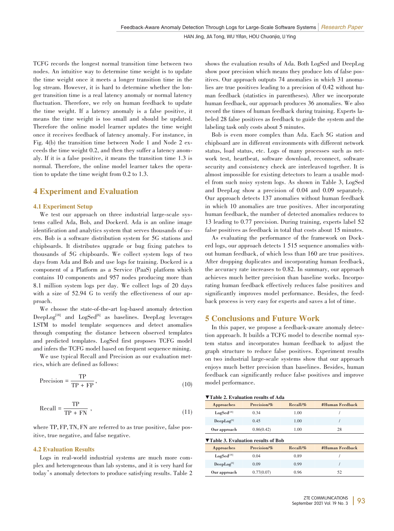TCFG records the longest normal transition time between two nodes. An intuitive way to determine time weight is to update the time weight once it meets a longer transition time in the log stream. However, it is hard to determine whether the longer transition time is a real latency anomaly or normal latency fluctuation. Therefore, we rely on human feedback to update the time weight. If a latency anomaly is a false positive, it means the time weight is too small and should be updated. Therefore the online model learner updates the time weight once it receives feedback of latency anomaly. For instance, in Fig. 4(b) the transition time between Node 1 and Node 2 exceeds the time weight 0.2, and then they suffer a latency anomaly. If it is a false positive, it means the transition time 1.3 is normal. Therefore, the online model learner takes the operation to update the time weight from 0.2 to 1.3.

# 4 Experiment and Evaluation

#### 4.1 Experiment Setup

We test our approach on three industrial large-scale systems called Ada, Bob, and Dockerd. Ada is an online image identification and analytics system that serves thousands of users. Bob is a software distribution system for 5G stations and chipboards. It distributes upgrade or bug fixing patches to thousands of 5G chipboards. We collect system logs of two days from Ada and Bob and use logs for training. Dockerd is a component of a Platform as a Service (PaaS) platform which contains 10 components and 957 nodes producing more than 8.1 million system logs per day. We collect logs of 20 days with a size of 52.94 G to verify the effectiveness of our approach.

We choose the state-of-the-art log-based anomaly detection DeepLog<sup>[18]</sup> and LogSed<sup>[6]</sup> as baselines. DeepLog leverages LSTM to model template sequences and detect anomalies through computing the distance between observed templates and predicted templates. LogSed first proposes TCFG model and infers the TCFG model based on frequent sequence mining.

We use typical Recall and Precision as our evaluation metrics, which are defined as follows:

$$
Precision = \frac{TP}{TP + FP},\tag{10}
$$

$$
Recall = \frac{TP}{TP + FN} \tag{11}
$$

where TP, FP, TN, FN are referred to as true positive, false positive, true negative, and false negative.

## 4.2 Evaluation Results

Logs in real-world industrial systems are much more complex and heterogeneous than lab systems, and it is very hard for today's anomaly detectors to produce satisfying results. Table 2 shows the evaluation results of Ada. Both LogSed and DeepLog show poor precision which means they produce lots of false positives. Our approach outputs 74 anomalies in which 31 anomalies are true positives leading to a precision of 0.42 without human feedback (statistics in parentheses). After we incorporate human feedback, our approach produces 36 anomalies. We also record the times of human feedback during training. Experts labeled 28 false positives as feedback to guide the system and the labeling task only costs about 5 minutes.

Bob is even more complex than Ada. Each 5G station and chipboard are in different environments with different network status, load status, etc. Logs of many processes such as network test, heartbeat, software download, reconnect, software security and consistency check are interleaved together. It is almost impossible for existing detectors to learn a usable model from such noisy system logs. As shown in Table 3, LogSed and DeepLog show a precision of 0.04 and 0.09 separately. Our approach detects 137 anomalies without human feedback in which 10 anomalies are true positives. After incorporating human feedback, the number of detected anomalies reduces to 13 leading to 0.77 precision. During training, experts label 52 false positives as feedback in total that costs about 15 minutes.

As evaluating the performance of the framework on Dockerd logs, our approach detects 1 515 sequence anomalies without human feedback, of which less than 160 are true positives. After dropping duplicates and incorporating human feedback, the accuracy rate increases to 0.82. In summary, our approach achieves much better precision than baseline works. Incorporating human feedback effectively reduces false positives and significantly improves model performance. Besides, the feedback process is very easy for experts and saves a lot of time.

# 5 Conclusions and Future Work

In this paper, we propose a feedback-aware anomaly detection approach. It builds a TCFG model to describe normal system status and incorporates human feedback to adjust the graph structure to reduce false positives. Experiment results on two industrial large‑scale systems show that our approach enjoys much better precision than baselines. Besides, human feedback can significantly reduce false positives and improve model performance.

| ▼Table 2. Evaluation results of Ada |  |
|-------------------------------------|--|
|                                     |  |

| Approaches      | $Precision/\%$ | $Recall\%$ | #Human Feedback |
|-----------------|----------------|------------|-----------------|
| $LogSed^{[18]}$ | 0.34           | 1.00       |                 |
| $DeepLog^{[6]}$ | 0.45           | 1.00       |                 |
| Our approach    | 0.86(0.42)     | 1.00       | 28              |

| ▼Table 3. Evaluation results of Bob |                |            |                 |
|-------------------------------------|----------------|------------|-----------------|
| Approaches                          | $Precision/\%$ | $Recall\%$ | #Human Feedback |
| LogSeq <sup>[18]</sup>              | 0.04           | 0.89       |                 |
| $DeepLog^{[6]}$                     | 0.09           | 0.99       |                 |
| Our approach                        | 0.77(0.07)     | 0.96       | 52              |